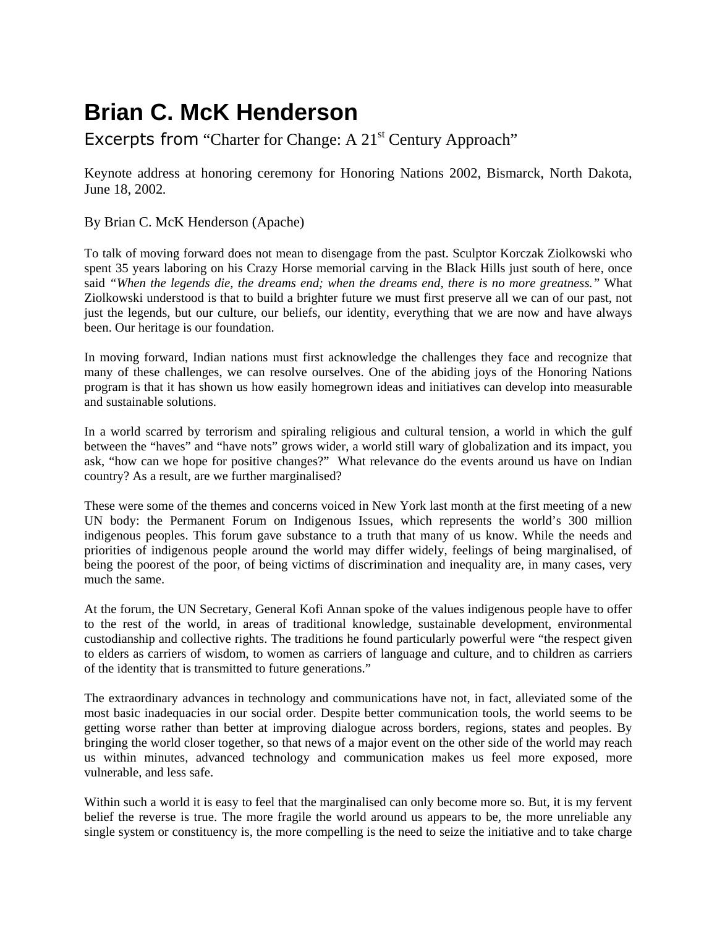## **Brian C. McK Henderson**

## Excerpts from "Charter for Change: A 21<sup>st</sup> Century Approach"

Keynote address at honoring ceremony for Honoring Nations 2002, Bismarck, North Dakota, June 18, 2002*.* 

By Brian C. McK Henderson (Apache)

To talk of moving forward does not mean to disengage from the past. Sculptor Korczak Ziolkowski who spent 35 years laboring on his Crazy Horse memorial carving in the Black Hills just south of here, once said *"When the legends die, the dreams end; when the dreams end, there is no more greatness."* What Ziolkowski understood is that to build a brighter future we must first preserve all we can of our past, not just the legends, but our culture, our beliefs, our identity, everything that we are now and have always been. Our heritage is our foundation.

In moving forward, Indian nations must first acknowledge the challenges they face and recognize that many of these challenges, we can resolve ourselves. One of the abiding joys of the Honoring Nations program is that it has shown us how easily homegrown ideas and initiatives can develop into measurable and sustainable solutions.

In a world scarred by terrorism and spiraling religious and cultural tension, a world in which the gulf between the "haves" and "have nots" grows wider, a world still wary of globalization and its impact, you ask, "how can we hope for positive changes?" What relevance do the events around us have on Indian country? As a result, are we further marginalised?

These were some of the themes and concerns voiced in New York last month at the first meeting of a new UN body: the Permanent Forum on Indigenous Issues, which represents the world's 300 million indigenous peoples. This forum gave substance to a truth that many of us know. While the needs and priorities of indigenous people around the world may differ widely, feelings of being marginalised, of being the poorest of the poor, of being victims of discrimination and inequality are, in many cases, very much the same.

At the forum, the UN Secretary, General Kofi Annan spoke of the values indigenous people have to offer to the rest of the world, in areas of traditional knowledge, sustainable development, environmental custodianship and collective rights. The traditions he found particularly powerful were "the respect given to elders as carriers of wisdom, to women as carriers of language and culture, and to children as carriers of the identity that is transmitted to future generations."

The extraordinary advances in technology and communications have not, in fact, alleviated some of the most basic inadequacies in our social order. Despite better communication tools, the world seems to be getting worse rather than better at improving dialogue across borders, regions, states and peoples. By bringing the world closer together, so that news of a major event on the other side of the world may reach us within minutes, advanced technology and communication makes us feel more exposed, more vulnerable, and less safe.

Within such a world it is easy to feel that the marginalised can only become more so. But, it is my fervent belief the reverse is true. The more fragile the world around us appears to be, the more unreliable any single system or constituency is, the more compelling is the need to seize the initiative and to take charge